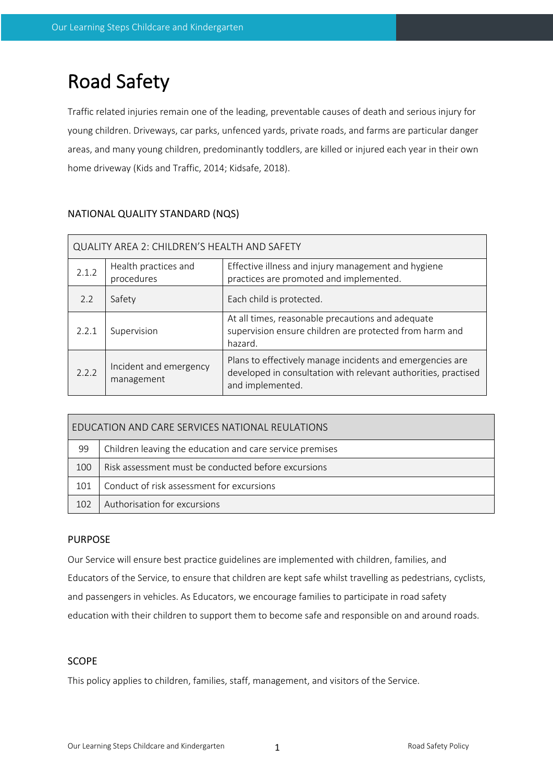# Road Safety

Traffic related injuries remain one of the leading, preventable causes of death and serious injury for young children. Driveways, car parks, unfenced yards, private roads, and farms are particular danger areas, and many young children, predominantly toddlers, are killed or injured each year in their own home driveway (Kids and Traffic, 2014; Kidsafe, 2018).

| QUALITY AREA 2: CHILDREN'S HEALTH AND SAFETY |                                      |                                                                                                                                                 |  |  |  |
|----------------------------------------------|--------------------------------------|-------------------------------------------------------------------------------------------------------------------------------------------------|--|--|--|
| 2.1.2                                        | Health practices and<br>procedures   | Effective illness and injury management and hygiene<br>practices are promoted and implemented.                                                  |  |  |  |
| 2.2                                          | Safety                               | Each child is protected.                                                                                                                        |  |  |  |
| 2.2.1                                        | Supervision                          | At all times, reasonable precautions and adequate<br>supervision ensure children are protected from harm and<br>hazard.                         |  |  |  |
| 2.2.2                                        | Incident and emergency<br>management | Plans to effectively manage incidents and emergencies are<br>developed in consultation with relevant authorities, practised<br>and implemented. |  |  |  |

# NATIONAL QUALITY STANDARD (NQS)

| EDUCATION AND CARE SERVICES NATIONAL REULATIONS |                                                          |  |  |  |
|-------------------------------------------------|----------------------------------------------------------|--|--|--|
| 99                                              | Children leaving the education and care service premises |  |  |  |
| 100                                             | Risk assessment must be conducted before excursions      |  |  |  |
| 101                                             | Conduct of risk assessment for excursions                |  |  |  |
| 102                                             | Authorisation for excursions                             |  |  |  |

# PURPOSE

Our Service will ensure best practice guidelines are implemented with children, families, and Educators of the Service, to ensure that children are kept safe whilst travelling as pedestrians, cyclists, and passengers in vehicles. As Educators, we encourage families to participate in road safety education with their children to support them to become safe and responsible on and around roads.

# **SCOPE**

This policy applies to children, families, staff, management, and visitors of the Service.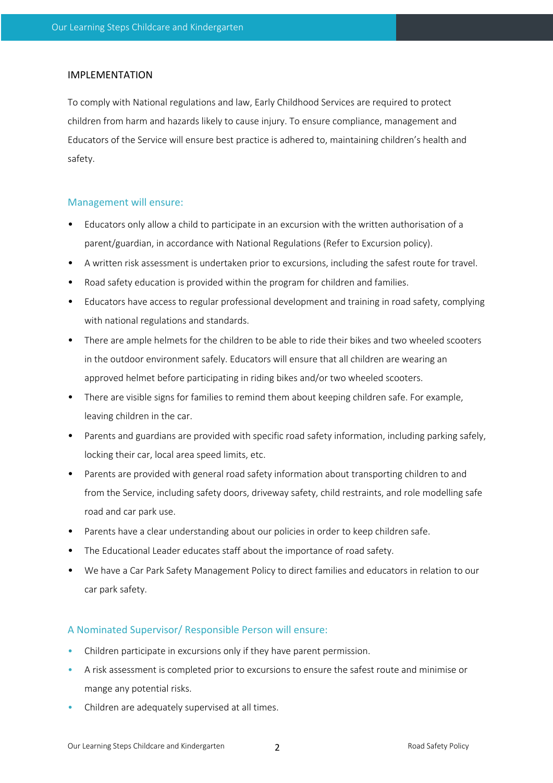## IMPLEMENTATION

To comply with National regulations and law, Early Childhood Services are required to protect children from harm and hazards likely to cause injury. To ensure compliance, management and Educators of the Service will ensure best practice is adhered to, maintaining children's health and safety.

#### Management will ensure:

- Educators only allow a child to participate in an excursion with the written authorisation of a parent/guardian, in accordance with National Regulations (Refer to Excursion policy).
- A written risk assessment is undertaken prior to excursions, including the safest route for travel.
- Road safety education is provided within the program for children and families.
- Educators have access to regular professional development and training in road safety, complying with national regulations and standards.
- There are ample helmets for the children to be able to ride their bikes and two wheeled scooters in the outdoor environment safely. Educators will ensure that all children are wearing an approved helmet before participating in riding bikes and/or two wheeled scooters.
- There are visible signs for families to remind them about keeping children safe. For example, leaving children in the car.
- Parents and guardians are provided with specific road safety information, including parking safely, locking their car, local area speed limits, etc.
- Parents are provided with general road safety information about transporting children to and from the Service, including safety doors, driveway safety, child restraints, and role modelling safe road and car park use.
- Parents have a clear understanding about our policies in order to keep children safe.
- The Educational Leader educates staff about the importance of road safety.
- We have a Car Park Safety Management Policy to direct families and educators in relation to our car park safety.

#### A Nominated Supervisor/ Responsible Person will ensure:

- Children participate in excursions only if they have parent permission.
- A risk assessment is completed prior to excursions to ensure the safest route and minimise or mange any potential risks.
- Children are adequately supervised at all times.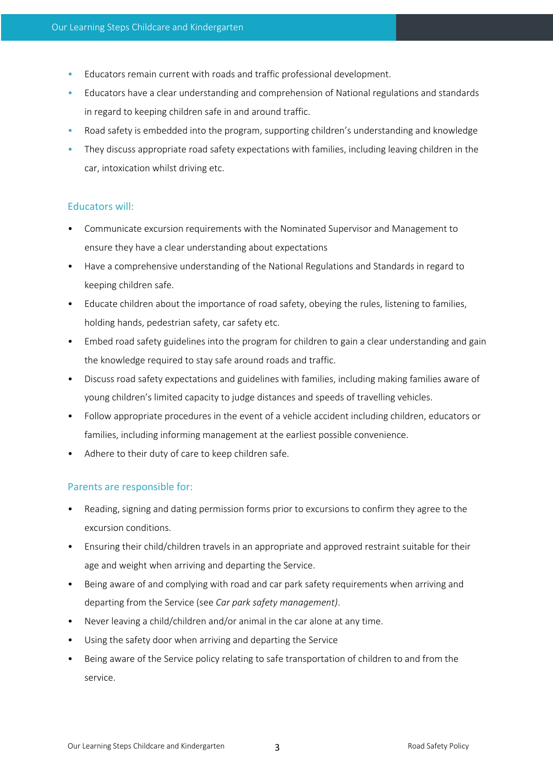- Educators remain current with roads and traffic professional development.
- Educators have a clear understanding and comprehension of National regulations and standards in regard to keeping children safe in and around traffic.
- Road safety is embedded into the program, supporting children's understanding and knowledge
- They discuss appropriate road safety expectations with families, including leaving children in the car, intoxication whilst driving etc.

#### Educators will:

- Communicate excursion requirements with the Nominated Supervisor and Management to ensure they have a clear understanding about expectations
- Have a comprehensive understanding of the National Regulations and Standards in regard to keeping children safe.
- Educate children about the importance of road safety, obeying the rules, listening to families, holding hands, pedestrian safety, car safety etc.
- Embed road safety guidelines into the program for children to gain a clear understanding and gain the knowledge required to stay safe around roads and traffic.
- Discuss road safety expectations and guidelines with families, including making families aware of young children's limited capacity to judge distances and speeds of travelling vehicles.
- Follow appropriate procedures in the event of a vehicle accident including children, educators or families, including informing management at the earliest possible convenience.
- Adhere to their duty of care to keep children safe.

## Parents are responsible for:

- Reading, signing and dating permission forms prior to excursions to confirm they agree to the excursion conditions.
- Ensuring their child/children travels in an appropriate and approved restraint suitable for their age and weight when arriving and departing the Service.
- Being aware of and complying with road and car park safety requirements when arriving and departing from the Service (see *Car park safety management)*.
- Never leaving a child/children and/or animal in the car alone at any time.
- Using the safety door when arriving and departing the Service
- Being aware of the Service policy relating to safe transportation of children to and from the service.